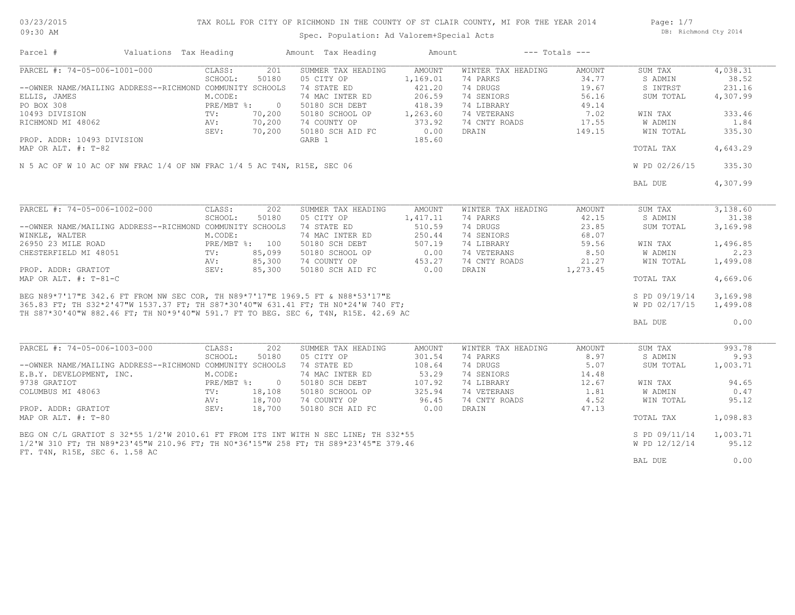03/23/2015 09:30 AM

# TAX ROLL FOR CITY OF RICHMOND IN THE COUNTY OF ST CLAIR COUNTY, MI FOR THE YEAR 2014

Spec. Population: Ad Valorem+Special Acts

Page: 1/7 DB: Richmond Cty 2014

| Parcel #                                                                                                                                                                                                                             | Valuations Tax Heading |                |                | Amount Tax Heading | Amount   |                    | $---$ Totals $---$ |               |          |
|--------------------------------------------------------------------------------------------------------------------------------------------------------------------------------------------------------------------------------------|------------------------|----------------|----------------|--------------------|----------|--------------------|--------------------|---------------|----------|
| PARCEL #: 74-05-006-1001-000                                                                                                                                                                                                         |                        | CLASS:         | 201            | SUMMER TAX HEADING | AMOUNT   | WINTER TAX HEADING | AMOUNT             | SUM TAX       | 4,038.31 |
|                                                                                                                                                                                                                                      |                        | SCHOOL:        | 50180          | 05 CITY OP         | 1,169.01 | 74 PARKS           | 34.77              | S ADMIN       | 38.52    |
| --OWNER NAME/MAILING ADDRESS--RICHMOND COMMUNITY SCHOOLS                                                                                                                                                                             |                        |                |                | 74 STATE ED        | 421.20   | 74 DRUGS           | 19.67              | S INTRST      | 231.16   |
| ELLIS, JAMES                                                                                                                                                                                                                         |                        | M.CODE:        |                | 74 MAC INTER ED    | 206.59   | 74 SENIORS         | 56.16              | SUM TOTAL     | 4,307.99 |
| PO BOX 308                                                                                                                                                                                                                           |                        | PRE/MBT %:     | $\overline{0}$ | 50180 SCH DEBT     | 418.39   | 74 LIBRARY         | 49.14              |               |          |
| 10493 DIVISION                                                                                                                                                                                                                       |                        | $TV$ :         | 70,200         | 50180 SCHOOL OP    | 1,263.60 | 74 VETERANS        | 7.02               | WIN TAX       | 333.46   |
| RICHMOND MI 48062                                                                                                                                                                                                                    |                        | AV:            | 70,200         | 74 COUNTY OP       | 373.92   | 74 CNTY ROADS      | 17.55              | W ADMIN       | 1.84     |
|                                                                                                                                                                                                                                      |                        | SEV:           | 70,200         | 50180 SCH AID FC   | 0.00     | DRAIN              | 149.15             | WIN TOTAL     | 335.30   |
|                                                                                                                                                                                                                                      |                        |                |                |                    | 185.60   |                    |                    |               |          |
| PROP. ADDR: 10493 DIVISION                                                                                                                                                                                                           |                        |                |                | GARB 1             |          |                    |                    |               |          |
| MAP OR ALT. #: T-82                                                                                                                                                                                                                  |                        |                |                |                    |          |                    |                    | TOTAL TAX     | 4,643.29 |
| N 5 AC OF W 10 AC OF NW FRAC 1/4 OF NW FRAC 1/4 5 AC T4N, R15E, SEC 06                                                                                                                                                               |                        |                |                |                    |          |                    |                    | W PD 02/26/15 | 335.30   |
|                                                                                                                                                                                                                                      |                        |                |                |                    |          |                    |                    |               |          |
|                                                                                                                                                                                                                                      |                        |                |                |                    |          |                    |                    | BAL DUE       | 4,307.99 |
|                                                                                                                                                                                                                                      |                        |                |                |                    |          |                    |                    |               |          |
| PARCEL #: 74-05-006-1002-000                                                                                                                                                                                                         |                        | CLASS:         | 202            | SUMMER TAX HEADING | AMOUNT   | WINTER TAX HEADING | AMOUNT             | SUM TAX       | 3,138.60 |
|                                                                                                                                                                                                                                      |                        | SCHOOL:        | 50180          | 05 CITY OP         | 1,417.11 | 74 PARKS           | 42.15              | S ADMIN       | 31.38    |
| --OWNER NAME/MAILING ADDRESS--RICHMOND COMMUNITY SCHOOLS                                                                                                                                                                             |                        |                |                | 74 STATE ED        | 510.59   | 74 DRUGS           | 23.85              | SUM TOTAL     | 3,169.98 |
| WINKLE, WALTER                                                                                                                                                                                                                       |                        | M.CODE:        |                | 74 MAC INTER ED    | 250.44   | 74 SENIORS         | 68.07              |               |          |
| 26950 23 MILE ROAD                                                                                                                                                                                                                   |                        | PRE/MBT %: 100 |                | 50180 SCH DEBT     | 507.19   | 74 LIBRARY         | 59.56              | WIN TAX       | 1,496.85 |
| CHESTERFIELD MI 48051                                                                                                                                                                                                                |                        | $\text{TV}$ :  | 85,099         | 50180 SCHOOL OP    | 0.00     | 74 VETERANS        | 8.50               | W ADMIN       | 2.23     |
|                                                                                                                                                                                                                                      |                        | AV:            | 85,300         | 74 COUNTY OP       | 453.27   | 74 CNTY ROADS      | 21.27              | WIN TOTAL     | 1,499.08 |
| PROP. ADDR: GRATIOT                                                                                                                                                                                                                  |                        | SEV:           | 85,300         | 50180 SCH AID FC   | 0.00     | DRAIN              | 1,273.45           |               |          |
| MAP OR ALT. $\#$ : T-81-C                                                                                                                                                                                                            |                        |                |                |                    |          |                    |                    | TOTAL TAX     | 4,669.06 |
|                                                                                                                                                                                                                                      |                        |                |                |                    |          |                    |                    |               |          |
| BEG N89*7'17"E 342.6 FT FROM NW SEC COR, TH N89*7'17"E 1969.5 FT & N88*53'17"E<br>365.83 FT; TH S32*2'47"W 1537.37 FT; TH S87*30'40"W 631.41 FT; TH N0*24'W 740 FT;<br>TH S87*30'40"W 882.46 FT; TH N0*9'40"W 591.7 FT TO BEG. SEC 6 |                        |                |                |                    |          |                    |                    | S PD 09/19/14 | 3,169.98 |
|                                                                                                                                                                                                                                      |                        |                |                |                    |          |                    |                    | W PD 02/17/15 | 1,499.08 |
|                                                                                                                                                                                                                                      |                        |                |                |                    |          |                    |                    |               |          |
|                                                                                                                                                                                                                                      |                        |                |                |                    |          |                    |                    | BAL DUE       | 0.00     |
|                                                                                                                                                                                                                                      |                        |                |                |                    |          |                    |                    |               |          |
| PARCEL #: 74-05-006-1003-000                                                                                                                                                                                                         |                        | CLASS:         | 202            | SUMMER TAX HEADING | AMOUNT   | WINTER TAX HEADING | AMOUNT             | SUM TAX       | 993.78   |
|                                                                                                                                                                                                                                      |                        | SCHOOL:        | 50180          | 05 CITY OP         | 301.54   | 74 PARKS           | 8.97               | S ADMIN       | 9.93     |
|                                                                                                                                                                                                                                      |                        |                |                |                    |          |                    |                    |               |          |
| --OWNER NAME/MAILING ADDRESS--RICHMOND COMMUNITY SCHOOLS                                                                                                                                                                             |                        |                |                | 74 STATE ED        | 108.64   | 74 DRUGS           | 5.07               | SUM TOTAL     | 1,003.71 |
| E.B.Y. DEVELOPMENT, INC.                                                                                                                                                                                                             |                        | M.CODE:        |                | 74 MAC INTER ED    | 53.29    | 74 SENIORS         | 14.48              |               |          |
| 9738 GRATIOT                                                                                                                                                                                                                         |                        | PRE/MBT %: 0   |                | 50180 SCH DEBT     | 107.92   | 74 LIBRARY         | 12.67              | WIN TAX       | 94.65    |
| COLUMBUS MI 48063                                                                                                                                                                                                                    |                        | TV:            | 18,108         | 50180 SCHOOL OP    | 325.94   | 74 VETERANS        | 1.81               | W ADMIN       | 0.47     |
|                                                                                                                                                                                                                                      |                        | AV:            | 18,700         | 74 COUNTY OP       | 96.45    | 74 CNTY ROADS      | 4.52               | WIN TOTAL     | 95.12    |
| PROP. ADDR: GRATIOT                                                                                                                                                                                                                  |                        | SEV:           | 18,700         | 50180 SCH AID FC   | 0.00     | DRAIN              | 47.13              |               |          |
| MAP OR ALT. #: T-80                                                                                                                                                                                                                  |                        |                |                |                    |          |                    |                    | TOTAL TAX     | 1,098.83 |
| BEG ON C/L GRATIOT S 32*55 1/2'W 2010.61 FT FROM ITS INT WITH N SEC LINE; TH S32*55                                                                                                                                                  |                        |                |                |                    |          |                    |                    | S PD 09/11/14 | 1,003.71 |
| 1/2'W 310 FT; TH N89*23'45"W 210.96 FT; TH N0*36'15"W 258 FT; TH S89*23'45"E 379.46                                                                                                                                                  |                        |                |                |                    |          |                    |                    | W PD 12/12/14 | 95.12    |
| FT. T4N, R15E, SEC 6. 1.58 AC                                                                                                                                                                                                        |                        |                |                |                    |          |                    |                    |               |          |
|                                                                                                                                                                                                                                      |                        |                |                |                    |          |                    |                    | BAL DUE       | 0.00     |
|                                                                                                                                                                                                                                      |                        |                |                |                    |          |                    |                    |               |          |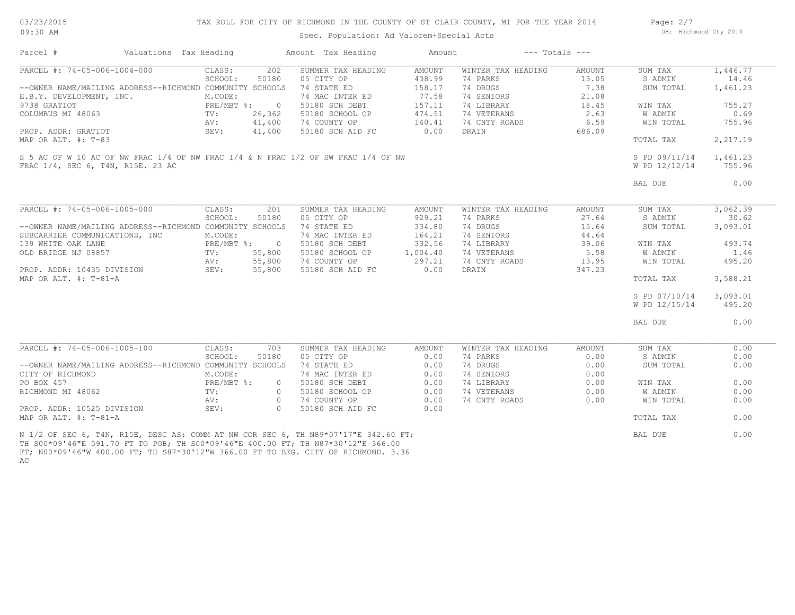03/23/2015 09:30 AM

#### TAX ROLL FOR CITY OF RICHMOND IN THE COUNTY OF ST CLAIR COUNTY, MI FOR THE YEAR 2014

Spec. Population: Ad Valorem+Special Acts

Page: 2/7 DB: Richmond Cty 2014

| Parcel #                                                                                                                                                                | Valuations Tax Heading |              |                | Amount Tax Heading | Amount   |                    | $---$ Totals $---$ |                |          |
|-------------------------------------------------------------------------------------------------------------------------------------------------------------------------|------------------------|--------------|----------------|--------------------|----------|--------------------|--------------------|----------------|----------|
| PARCEL #: 74-05-006-1004-000                                                                                                                                            |                        | CLASS:       | 202            | SUMMER TAX HEADING | AMOUNT   | WINTER TAX HEADING | AMOUNT             | SUM TAX        | 1,446.77 |
|                                                                                                                                                                         |                        | SCHOOL:      | 50180          | 05 CITY OP         | 438.99   | 74 PARKS           | 13.05              | S ADMIN        | 14.46    |
| --OWNER NAME/MAILING ADDRESS--RICHMOND COMMUNITY SCHOOLS                                                                                                                |                        |              |                | 74 STATE ED        | 158.17   | 74 DRUGS           | 7.38               | SUM TOTAL      | 1,461.23 |
| E.B.Y. DEVELOPMENT, INC.                                                                                                                                                |                        | M.CODE:      |                | 74 MAC INTER ED    | 77.58    | 74 SENIORS         | 21.08              |                |          |
| 9738 GRATIOT                                                                                                                                                            |                        | PRE/MBT %:   | $\overline{0}$ | 50180 SCH DEBT     | 157.11   | 74 LIBRARY         | 18.45              | WIN TAX        | 755.27   |
| COLUMBUS MI 48063                                                                                                                                                       |                        | TV:          | 26,362         | 50180 SCHOOL OP    | 474.51   | 74 VETERANS        | 2.63               | W ADMIN        | 0.69     |
|                                                                                                                                                                         |                        | AV:          | 41,400         | 74 COUNTY OP       | 140.41   | 74 CNTY ROADS      | 6.59               | WIN TOTAL      | 755.96   |
| PROP. ADDR: GRATIOT                                                                                                                                                     |                        | SEV:         | 41,400         | 50180 SCH AID FC   | 0.00     | DRAIN              | 686.09             |                |          |
| MAP OR ALT. #: T-83                                                                                                                                                     |                        |              |                |                    |          |                    |                    | TOTAL TAX      | 2,217.19 |
| S 5 AC OF W 10 AC OF NW FRAC 1/4 OF NW FRAC 1/4 & N FRAC 1/2 OF SW FRAC 1/4 OF NW                                                                                       |                        |              |                |                    |          |                    |                    | S PD 09/11/14  | 1,461.23 |
| FRAC 1/4, SEC 6, T4N, R15E, 23 AC                                                                                                                                       |                        |              |                |                    |          |                    |                    | W PD 12/12/14  | 755.96   |
|                                                                                                                                                                         |                        |              |                |                    |          |                    |                    | BAL DUE        | 0.00     |
|                                                                                                                                                                         |                        |              |                |                    |          |                    |                    |                |          |
| PARCEL #: 74-05-006-1005-000                                                                                                                                            |                        | CLASS:       | 201            | SUMMER TAX HEADING | AMOUNT   | WINTER TAX HEADING | AMOUNT             | SUM TAX        | 3,062.39 |
|                                                                                                                                                                         |                        | SCHOOL:      | 50180          | 05 CITY OP         | 929.21   | 74 PARKS           | 27.64              | S ADMIN        | 30.62    |
| --OWNER NAME/MAILING ADDRESS--RICHMOND COMMUNITY SCHOOLS                                                                                                                |                        |              |                | 74 STATE ED        | 334.80   | 74 DRUGS           | 15.64              | SUM TOTAL      | 3,093.01 |
| SUBCARRIER COMMUNICATIONS, INC                                                                                                                                          |                        | M.CODE:      |                | 74 MAC INTER ED    | 164.21   | 74 SENIORS         | 44.64              |                |          |
| 139 WHITE OAK LANE                                                                                                                                                      |                        | PRE/MBT %: 0 |                | 50180 SCH DEBT     | 332.56   | 74 LIBRARY         | 39.06              | WIN TAX        | 493.74   |
| OLD BRIDGE NJ 08857                                                                                                                                                     |                        | TV:          | 55,800         | 50180 SCHOOL OP    | 1,004.40 | 74 VETERANS        | 5.58               | <b>W ADMIN</b> | 1.46     |
|                                                                                                                                                                         |                        | AV:          | 55,800         | 74 COUNTY OP       | 297.21   | 74 CNTY ROADS      | 13.95              | WIN TOTAL      | 495.20   |
| PROP. ADDR: 10435 DIVISION                                                                                                                                              |                        | SEV:         | 55,800         | 50180 SCH AID FC   | 0.00     | DRAIN              | 347.23             |                |          |
| MAP OR ALT. $\#$ : T-81-A                                                                                                                                               |                        |              |                |                    |          |                    |                    | TOTAL TAX      | 3,588.21 |
|                                                                                                                                                                         |                        |              |                |                    |          |                    |                    | S PD 07/10/14  | 3,093.01 |
|                                                                                                                                                                         |                        |              |                |                    |          |                    |                    | W PD 12/15/14  | 495.20   |
|                                                                                                                                                                         |                        |              |                |                    |          |                    |                    |                |          |
|                                                                                                                                                                         |                        |              |                |                    |          |                    |                    | BAL DUE        | 0.00     |
|                                                                                                                                                                         |                        |              |                |                    |          |                    |                    |                |          |
| PARCEL #: 74-05-006-1005-100                                                                                                                                            |                        | CLASS:       | 703            | SUMMER TAX HEADING | AMOUNT   | WINTER TAX HEADING | AMOUNT             | SUM TAX        | 0.00     |
|                                                                                                                                                                         |                        | SCHOOL:      | 50180          | 05 CITY OP         | 0.00     | 74 PARKS           | 0.00               | S ADMIN        | 0.00     |
| --OWNER NAME/MAILING ADDRESS--RICHMOND COMMUNITY SCHOOLS                                                                                                                |                        |              |                | 74 STATE ED        | 0.00     | 74 DRUGS           | 0.00               | SUM TOTAL      | 0.00     |
| CITY OF RICHMOND                                                                                                                                                        |                        | M.CODE:      |                | 74 MAC INTER ED    | 0.00     | 74 SENIORS         | 0.00               |                |          |
| PO BOX 457                                                                                                                                                              |                        | $PRE/MBT$ %: | $\circ$        | 50180 SCH DEBT     | 0.00     | 74 LIBRARY         | 0.00               | WIN TAX        | 0.00     |
| RICHMOND MI 48062                                                                                                                                                       |                        | TV:          | $\circ$        | 50180 SCHOOL OP    | 0.00     | 74 VETERANS        | 0.00               | W ADMIN        | 0.00     |
|                                                                                                                                                                         |                        | AV:          | $\bigcirc$     | 74 COUNTY OP       | 0.00     | 74 CNTY ROADS      | 0.00               | WIN TOTAL      | 0.00     |
| PROP. ADDR: 10525 DIVISION                                                                                                                                              |                        | SEV:         | $\bigcirc$     | 50180 SCH AID FC   | 0.00     |                    |                    |                |          |
| MAP OR ALT. #: T-81-A                                                                                                                                                   |                        |              |                |                    |          |                    |                    | TOTAL TAX      | 0.00     |
| N 1/2 OF SEC 6, T4N, R15E, DESC AS: COMM AT NW COR SEC 6, TH N89*07'17"E 342.60 FT;<br>TH SOO*09'46"E 591.70 FT TO POB: TH SOO*09'46"E 400.00 FT: TH N87*30'12"E 366.00 |                        |              |                |                    |          |                    |                    | BAL DUE        | 0.00     |

AC FT; N00\*09'46"W 400.00 FT; TH S87\*30'12"W 366.00 FT TO BEG. CITY OF RICHMOND. 3.36 TH S00\*09'46"E 591.70 FT TO POB; TH S00\*09'46"E 400.00 FT; TH N87\*30'12"E 366.00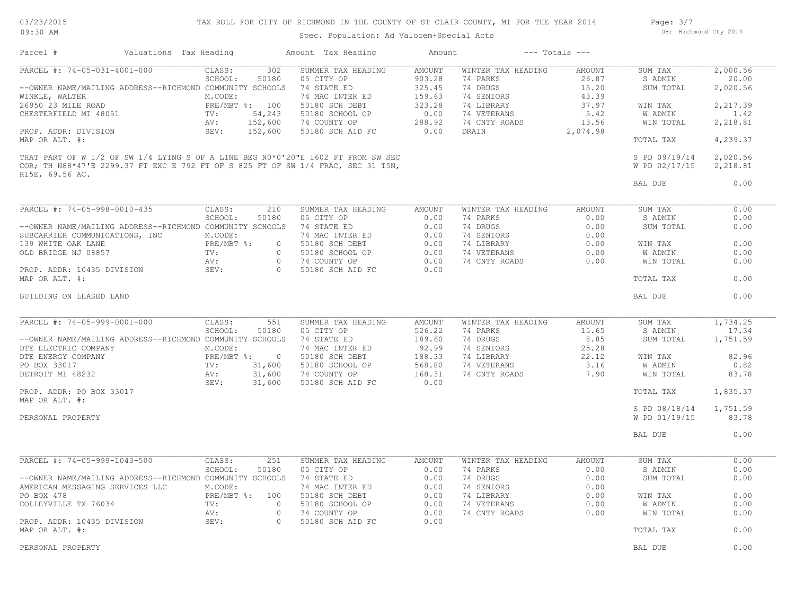03/23/2015 09:30 AM

# TAX ROLL FOR CITY OF RICHMOND IN THE COUNTY OF ST CLAIR COUNTY, MI FOR THE YEAR 2014

Spec. Population: Ad Valorem+Special Acts

Page: 3/7 DB: Richmond Cty 2014

| Parcel #                                                                                    | Valuations Tax Heading |                       |                     | Amount Tax Heading                                                                                                                                                   | Amount                  |                                | $---$ Totals $---$ |                                |                      |
|---------------------------------------------------------------------------------------------|------------------------|-----------------------|---------------------|----------------------------------------------------------------------------------------------------------------------------------------------------------------------|-------------------------|--------------------------------|--------------------|--------------------------------|----------------------|
| PARCEL #: 74-05-031-4001-000                                                                |                        | CLASS:<br>SCHOOL:     | 302<br>50180        | SUMMER TAX HEADING<br>05 CITY OP                                                                                                                                     | <b>AMOUNT</b><br>903.28 | WINTER TAX HEADING<br>74 PARKS | AMOUNT<br>26.87    | SUM TAX<br>S ADMIN             | 2,000.56<br>20.00    |
| --OWNER NAME/MAILING ADDRESS--RICHMOND COMMUNITY SCHOOLS<br>WINKLE, WALTER                  |                        | M.CODE:               |                     | 74 STATE ED<br>74 MAC INTER ED                                                                                                                                       | 325.45<br>159.63        | 74 DRUGS<br>74 SENIORS         | 15.20<br>43.39     | SUM TOTAL                      | 2,020.56             |
| 26950 23 MILE ROAD                                                                          |                        | PRE/MBT %: 100        |                     | 50180 SCH DEBT                                                                                                                                                       | 323.28                  | 74 LIBRARY                     | 37.97              | WIN TAX                        | 2,217.39             |
| CHESTERFIELD MI 48051                                                                       |                        | TV:                   | 54,243              | 50180 SCHOOL OP                                                                                                                                                      | 0.00                    | 74 VETERANS                    | 5.42               | W ADMIN                        | 1.42                 |
|                                                                                             |                        | AV:                   | 152,600             | 74 COUNTY OP                                                                                                                                                         | 288.92                  | 74 CNTY ROADS                  | 13.56              | WIN TOTAL                      | 2,218.81             |
| PROP. ADDR: DIVISION<br>MAP OR ALT. #:                                                      |                        | SEV:                  | 152,600             | 50180 SCH AID FC                                                                                                                                                     | 0.00                    | DRAIN                          | 2,074.98           | TOTAL TAX                      | 4,239.37             |
|                                                                                             |                        |                       |                     | THAT PART OF W 1/2 OF SW 1/4 LYING S OF A LINE BEG N0*0'20"E 1602 FT FROM SW SEC<br>COR; TH N88*47'E 2299.37 FT EXC E 792 FT OF S 825 FT OF SW 1/4 FRAC, SEC 31 T5N, |                         |                                |                    | S PD 09/19/14<br>W PD 02/17/15 | 2,020.56<br>2,218.81 |
| R15E, 69.56 AC.                                                                             |                        |                       |                     |                                                                                                                                                                      |                         |                                |                    | BAL DUE                        | 0.00                 |
| PARCEL #: 74-05-998-0010-435                                                                |                        | CLASS:                | 210                 | SUMMER TAX HEADING                                                                                                                                                   | AMOUNT                  | WINTER TAX HEADING             | <b>AMOUNT</b>      | SUM TAX                        | 0.00                 |
|                                                                                             |                        | SCHOOL:               | 50180               | 05 CITY OP                                                                                                                                                           | 0.00                    | 74 PARKS                       | 0.00               | S ADMIN                        | 0.00                 |
| --OWNER NAME/MAILING ADDRESS--RICHMOND COMMUNITY SCHOOLS                                    |                        |                       |                     | 74 STATE ED                                                                                                                                                          | 0.00                    | 74 DRUGS                       | 0.00               | SUM TOTAL                      | 0.00                 |
| SUBCARRIER COMMUNICATIONS, INC                                                              |                        | M.CODE:               |                     | 74 MAC INTER ED                                                                                                                                                      | 0.00                    | 74 SENIORS                     | 0.00               |                                |                      |
| 139 WHITE OAK LANE                                                                          |                        | PRE/MBT %:            | $\circ$             | 50180 SCH DEBT                                                                                                                                                       | 0.00                    | 74 LIBRARY                     | 0.00               | WIN TAX                        | 0.00                 |
| OLD BRIDGE NJ 08857                                                                         |                        | TV:                   | $\Omega$            | 50180 SCHOOL OP                                                                                                                                                      | 0.00                    | 74 VETERANS                    | 0.00               | W ADMIN                        | 0.00                 |
| PROP. ADDR: 10435 DIVISION                                                                  |                        | AV:<br>SEV:           | $\circ$<br>$\Omega$ | 74 COUNTY OP<br>50180 SCH AID FC                                                                                                                                     | 0.00<br>0.00            | 74 CNTY ROADS                  | 0.00               | WIN TOTAL                      | 0.00                 |
| MAP OR ALT. #:                                                                              |                        |                       |                     |                                                                                                                                                                      |                         |                                |                    | TOTAL TAX                      | 0.00                 |
| BUILDING ON LEASED LAND                                                                     |                        |                       |                     |                                                                                                                                                                      |                         |                                |                    | BAL DUE                        | 0.00                 |
| PARCEL #: 74-05-999-0001-000                                                                |                        | CLASS:                | 551                 | SUMMER TAX HEADING                                                                                                                                                   | AMOUNT                  | WINTER TAX HEADING             | AMOUNT             | SUM TAX                        | 1,734.25             |
|                                                                                             |                        | SCHOOL:               | 50180               | 05 CITY OP                                                                                                                                                           | 526.22                  | 74 PARKS                       | 15.65              | S ADMIN                        | 17.34                |
| --OWNER NAME/MAILING ADDRESS--RICHMOND COMMUNITY SCHOOLS                                    |                        |                       |                     | 74 STATE ED                                                                                                                                                          | 189.60                  | 74 DRUGS                       | 8.85               | SUM TOTAL                      | 1,751.59             |
| DTE ELECTRIC COMPANY<br>DTE ENERGY COMPANY                                                  |                        | M.CODE:<br>PRE/MBT %: | $\circ$             | 74 MAC INTER ED<br>50180 SCH DEBT                                                                                                                                    | 92.99<br>188.33         | 74 SENIORS<br>74 LIBRARY       | 25.28<br>22.12     | WIN TAX                        | 82.96                |
| PO BOX 33017                                                                                |                        | TV:                   | 31,600              | 50180 SCHOOL OP                                                                                                                                                      | 568.80                  | 74 VETERANS                    | 3.16               | W ADMIN                        | 0.82                 |
| DETROIT MI 48232                                                                            |                        | AV:<br>SEV:           | 31,600<br>31,600    | 74 COUNTY OP<br>50180 SCH AID FC                                                                                                                                     | 168.31<br>0.00          | 74 CNTY ROADS                  | 7.90               | WIN TOTAL                      | 83.78                |
| PROP. ADDR: PO BOX 33017<br>MAP OR ALT. #:                                                  |                        |                       |                     |                                                                                                                                                                      |                         |                                |                    | TOTAL TAX                      | 1,835.37             |
|                                                                                             |                        |                       |                     |                                                                                                                                                                      |                         |                                |                    | S PD 08/18/14                  | 1,751.59             |
| PERSONAL PROPERTY                                                                           |                        |                       |                     |                                                                                                                                                                      |                         |                                |                    | W PD 01/19/15                  | 83.78                |
|                                                                                             |                        |                       |                     |                                                                                                                                                                      |                         |                                |                    | BAL DUE                        | 0.00                 |
| PARCEL #: 74-05-999-1043-500                                                                |                        | CLASS:                | 251                 | SUMMER TAX HEADING                                                                                                                                                   | AMOUNT                  | WINTER TAX HEADING             | AMOUNT             | SUM TAX                        | 0.00                 |
|                                                                                             |                        | SCHOOL:               | 50180               | 05 CITY OP                                                                                                                                                           | 0.00                    | 74 PARKS                       | 0.00               | S ADMIN                        | 0.00                 |
| --OWNER NAME/MAILING ADDRESS--RICHMOND COMMUNITY SCHOOLS<br>AMERICAN MESSAGING SERVICES LLC |                        | M.CODE:               |                     | 74 STATE ED<br>74 MAC INTER ED                                                                                                                                       | 0.00<br>0.00            | 74 DRUGS<br>74 SENIORS         | 0.00<br>0.00       | SUM TOTAL                      | 0.00                 |
| PO BOX 478                                                                                  |                        |                       | PRE/MBT %: 100      | 50180 SCH DEBT                                                                                                                                                       | 0.00                    | 74 LIBRARY                     | 0.00               | WIN TAX                        | 0.00                 |
| COLLEYVILLE TX 76034                                                                        |                        | TV:<br>AV:            | $\circ$<br>$\circ$  | 50180 SCHOOL OP<br>74 COUNTY OP                                                                                                                                      | 0.00<br>0.00            | 74 VETERANS<br>74 CNTY ROADS   | 0.00<br>0.00       | <b>W ADMIN</b><br>WIN TOTAL    | 0.00<br>0.00         |
| PROP. ADDR: 10435 DIVISION                                                                  |                        | SEV:                  | $\Omega$            | 50180 SCH AID FC                                                                                                                                                     | 0.00                    |                                |                    |                                |                      |
| MAP OR ALT. #:                                                                              |                        |                       |                     |                                                                                                                                                                      |                         |                                |                    | TOTAL TAX                      | 0.00                 |
| PERSONAL PROPERTY                                                                           |                        |                       |                     |                                                                                                                                                                      |                         |                                |                    | BAL DUE                        | 0.00                 |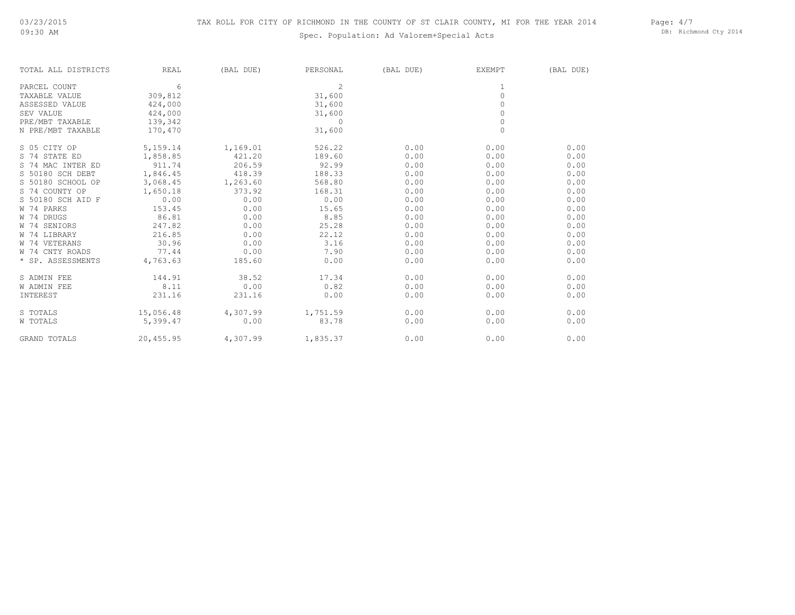# Spec. Population: Ad Valorem+Special Acts

Page: 4/7 DB: Richmond Cty 2014

| TOTAL ALL DISTRICTS | <b>REAL</b> | (BAL DUE) | PERSONAL       | (BAL DUE) | EXEMPT              | (BAL DUE) |
|---------------------|-------------|-----------|----------------|-----------|---------------------|-----------|
| PARCEL COUNT        | 6           |           | $\overline{2}$ |           | 1                   |           |
| TAXABLE VALUE       | 309,812     |           | 31,600         |           | $\mathsf{O}\xspace$ |           |
| ASSESSED VALUE      | 424,000     |           | 31,600         |           | $\Omega$            |           |
| SEV VALUE           | 424,000     |           | 31,600         |           | $\circ$             |           |
| PRE/MBT TAXABLE     | 139,342     |           | $\Omega$       |           | $\circ$             |           |
| N PRE/MBT TAXABLE   | 170,470     |           | 31,600         |           | $\Omega$            |           |
| S 05 CITY OP        | 5,159.14    | 1,169.01  | 526.22         | 0.00      | 0.00                | 0.00      |
| S 74 STATE ED       | 1,858.85    | 421.20    | 189.60         | 0.00      | 0.00                | 0.00      |
| S 74 MAC INTER ED   | 911.74      | 206.59    | 92.99          | 0.00      | 0.00                | 0.00      |
| S 50180 SCH DEBT    | 1,846.45    | 418.39    | 188.33         | 0.00      | 0.00                | 0.00      |
| S 50180 SCHOOL OP   | 3,068.45    | 1,263.60  | 568.80         | 0.00      | 0.00                | 0.00      |
| S 74 COUNTY OP      | 1,650.18    | 373.92    | 168.31         | 0.00      | 0.00                | 0.00      |
| S 50180 SCH AID F   | 0.00        | 0.00      | 0.00           | 0.00      | 0.00                | 0.00      |
| W 74 PARKS          | 153.45      | 0.00      | 15.65          | 0.00      | 0.00                | 0.00      |
| W 74 DRUGS          | 86.81       | 0.00      | 8.85           | 0.00      | 0.00                | 0.00      |
| W 74 SENIORS        | 247.82      | 0.00      | 25.28          | 0.00      | 0.00                | 0.00      |
| W 74 LIBRARY        | 216.85      | 0.00      | 22.12          | 0.00      | 0.00                | 0.00      |
| W 74 VETERANS       | 30.96       | 0.00      | 3.16           | 0.00      | 0.00                | 0.00      |
| W 74 CNTY ROADS     | 77.44       | 0.00      | 7.90           | 0.00      | 0.00                | 0.00      |
| * SP. ASSESSMENTS   | 4,763.63    | 185.60    | 0.00           | 0.00      | 0.00                | 0.00      |
| S ADMIN FEE         | 144.91      | 38.52     | 17.34          | 0.00      | 0.00                | 0.00      |
| <b>W ADMIN FEE</b>  | 8.11        | 0.00      | 0.82           | 0.00      | 0.00                | 0.00      |
| INTEREST            | 231.16      | 231.16    | 0.00           | 0.00      | 0.00                | 0.00      |
| S TOTALS            | 15,056.48   | 4,307.99  | 1,751.59       | 0.00      | 0.00                | 0.00      |
| W TOTALS            | 5,399.47    | 0.00      | 83.78          | 0.00      | 0.00                | 0.00      |
| <b>GRAND TOTALS</b> | 20,455.95   | 4,307.99  | 1,835.37       | 0.00      | 0.00                | 0.00      |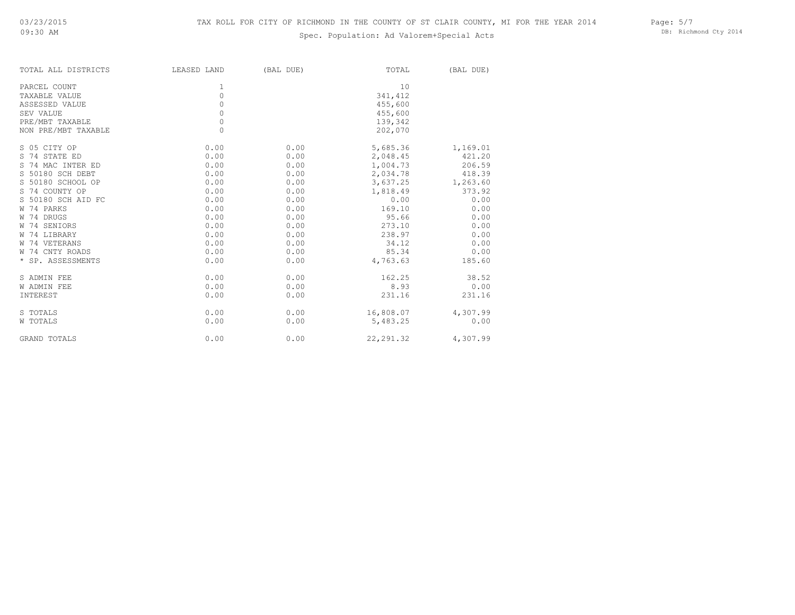# Spec. Population: Ad Valorem+Special Acts

| Page: $5/7$ |                       |  |
|-------------|-----------------------|--|
|             | DB: Richmond Cty 2014 |  |

| LEASED LAND | (BAL DUE) | TOTAL      | (BAL DUE) |
|-------------|-----------|------------|-----------|
| 1           |           | 10         |           |
| 0           |           | 341,412    |           |
| 0           |           | 455,600    |           |
| 0           |           | 455,600    |           |
| 0           |           | 139,342    |           |
| $\Omega$    |           | 202,070    |           |
| 0.00        | 0.00      | 5,685.36   | 1,169.01  |
| 0.00        | 0.00      | 2,048.45   | 421.20    |
| 0.00        | 0.00      | 1,004.73   | 206.59    |
| 0.00        | 0.00      | 2,034.78   | 418.39    |
| 0.00        | 0.00      | 3,637.25   | 1,263.60  |
| 0.00        | 0.00      | 1,818.49   | 373.92    |
| 0.00        | 0.00      | 0.00       | 0.00      |
| 0.00        | 0.00      | 169.10     | 0.00      |
| 0.00        | 0.00      | 95.66      | 0.00      |
| 0.00        | 0.00      | 273.10     | 0.00      |
| 0.00        | 0.00      | 238.97     | 0.00      |
| 0.00        | 0.00      | 34.12      | 0.00      |
| 0.00        | 0.00      | 85.34      | 0.00      |
| 0.00        | 0.00      | 4,763.63   | 185.60    |
| 0.00        | 0.00      | 162.25     | 38.52     |
| 0.00        | 0.00      | 8.93       | 0.00      |
| 0.00        | 0.00      | 231.16     | 231.16    |
| 0.00        | 0.00      | 16,808.07  | 4,307.99  |
| 0.00        | 0.00      | 5,483.25   | 0.00      |
| 0.00        | 0.00      | 22, 291.32 | 4,307.99  |
|             |           |            |           |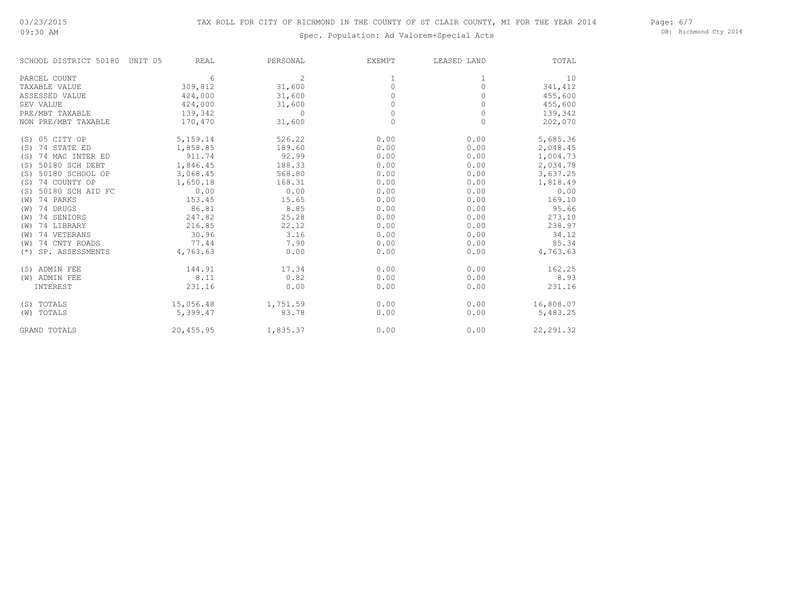09:30 AM

# Spec. Population: Ad Valorem+Special Acts

Page: 6/7 DB: Richmond Cty 2014

| SCHOOL DISTRICT 50180    | <b>REAL</b><br>UNIT 05 | PERSONAL       | <b>EXEMPT</b> | LEASED LAND | TOTAL      |
|--------------------------|------------------------|----------------|---------------|-------------|------------|
| PARCEL COUNT             | 6                      | $\overline{c}$ | 1             | 1           | 10         |
| TAXABLE VALUE            | 309,812                | 31,600         | $\Omega$      | 0           | 341,412    |
| ASSESSED VALUE           | 424,000                | 31,600         | 0             | 0           | 455,600    |
| SEV VALUE                | 424,000                | 31,600         | 0             | 0           | 455,600    |
| PRE/MBT TAXABLE          | 139,342                | $\Omega$       | $\Omega$      | 0           | 139,342    |
| NON PRE/MBT TAXABLE      | 170,470                | 31,600         | $\circ$       | 0           | 202,070    |
| (S) 05 CITY OP           | 5,159.14               | 526.22         | 0.00          | 0.00        | 5,685.36   |
| (S) 74 STATE ED          | 1,858.85               | 189.60         | 0.00          | 0.00        | 2,048.45   |
| (S) 74 MAC INTER ED      | 911.74                 | 92.99          | 0.00          | 0.00        | 1,004.73   |
| 50180 SCH DEBT<br>(S)    | 1,846.45               | 188.33         | 0.00          | 0.00        | 2,034.78   |
| 50180 SCHOOL OP<br>(S)   | 3,068.45               | 568.80         | 0.00          | 0.00        | 3,637.25   |
| 74 COUNTY OP<br>(S)      | 1,650.18               | 168.31         | 0.00          | 0.00        | 1,818.49   |
| 50180 SCH AID FC<br>(S)  | 0.00                   | 0.00           | 0.00          | 0.00        | 0.00       |
| (W) 74 PARKS             | 153.45                 | 15.65          | 0.00          | 0.00        | 169.10     |
| (W) 74 DRUGS             | 86.81                  | 8.85           | 0.00          | 0.00        | 95.66      |
| 74 SENIORS<br>(W)        | 247.82                 | 25.28          | 0.00          | 0.00        | 273.10     |
| 74 LIBRARY<br>(W)        | 216.85                 | 22.12          | 0.00          | 0.00        | 238.97     |
| 74 VETERANS<br>(W)       | 30.96                  | 3.16           | 0.00          | 0.00        | 34.12      |
| 74 CNTY ROADS<br>(W)     | 77.44                  | 7.90           | 0.00          | 0.00        | 85.34      |
| SP. ASSESSMENTS<br>$(*)$ | 4,763.63               | 0.00           | 0.00          | 0.00        | 4,763.63   |
| (S) ADMIN FEE            | 144.91                 | 17.34          | 0.00          | 0.00        | 162.25     |
| (W) ADMIN FEE            | 8.11                   | 0.82           | 0.00          | 0.00        | 8.93       |
| INTEREST                 | 231.16                 | 0.00           | 0.00          | 0.00        | 231.16     |
| (S) TOTALS               | 15,056.48              | 1,751.59       | 0.00          | 0.00        | 16,808.07  |
| (W) TOTALS               | 5,399.47               | 83.78          | 0.00          | 0.00        | 5,483.25   |
| <b>GRAND TOTALS</b>      | 20,455.95              | 1,835.37       | 0.00          | 0.00        | 22, 291.32 |